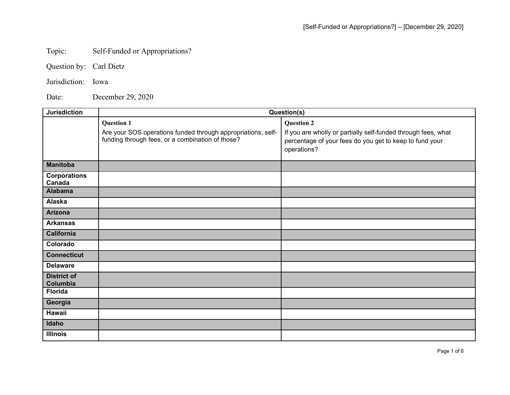## Topic: Self-Funded or Appropriations?

Question by: Carl Dietz

Jurisdiction: Iowa

Date: December 29, 2020

| <b>Jurisdiction</b>                             | Question(s)                                                                                                                           |                                                                                                                                                              |
|-------------------------------------------------|---------------------------------------------------------------------------------------------------------------------------------------|--------------------------------------------------------------------------------------------------------------------------------------------------------------|
|                                                 | <b>Question 1</b><br>Are your SOS operations funded through appropriations, self-<br>funding through fees, or a combination of those? | <b>Question 2</b><br>If you are wholly or partially self-funded through fees, what<br>percentage of your fees do you get to keep to fund your<br>operations? |
| <b>Manitoba</b>                                 |                                                                                                                                       |                                                                                                                                                              |
| <b>Corporations</b><br>Canada<br><b>Alabama</b> |                                                                                                                                       |                                                                                                                                                              |
| Alaska                                          |                                                                                                                                       |                                                                                                                                                              |
| <b>Arizona</b>                                  |                                                                                                                                       |                                                                                                                                                              |
| <b>Arkansas</b>                                 |                                                                                                                                       |                                                                                                                                                              |
| California                                      |                                                                                                                                       |                                                                                                                                                              |
| Colorado                                        |                                                                                                                                       |                                                                                                                                                              |
| <b>Connecticut</b>                              |                                                                                                                                       |                                                                                                                                                              |
| <b>Delaware</b>                                 |                                                                                                                                       |                                                                                                                                                              |
| <b>District of</b><br>Columbia                  |                                                                                                                                       |                                                                                                                                                              |
| <b>Florida</b>                                  |                                                                                                                                       |                                                                                                                                                              |
| Georgia                                         |                                                                                                                                       |                                                                                                                                                              |
| <b>Hawaii</b>                                   |                                                                                                                                       |                                                                                                                                                              |
| Idaho                                           |                                                                                                                                       |                                                                                                                                                              |
| <b>Illinois</b>                                 |                                                                                                                                       |                                                                                                                                                              |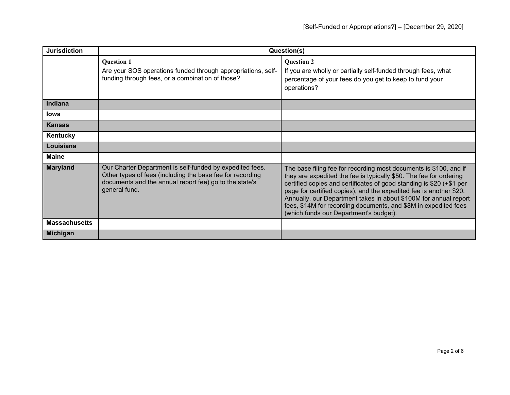| <b>Jurisdiction</b>  | Question(s)                                                                                                                                                                                      |                                                                                                                                                                                                                                                                                                                                                                                                                                                                        |
|----------------------|--------------------------------------------------------------------------------------------------------------------------------------------------------------------------------------------------|------------------------------------------------------------------------------------------------------------------------------------------------------------------------------------------------------------------------------------------------------------------------------------------------------------------------------------------------------------------------------------------------------------------------------------------------------------------------|
|                      | <b>Question 1</b><br>Are your SOS operations funded through appropriations, self-<br>funding through fees, or a combination of those?                                                            | <b>Question 2</b><br>If you are wholly or partially self-funded through fees, what<br>percentage of your fees do you get to keep to fund your<br>operations?                                                                                                                                                                                                                                                                                                           |
| <b>Indiana</b>       |                                                                                                                                                                                                  |                                                                                                                                                                                                                                                                                                                                                                                                                                                                        |
| lowa                 |                                                                                                                                                                                                  |                                                                                                                                                                                                                                                                                                                                                                                                                                                                        |
| <b>Kansas</b>        |                                                                                                                                                                                                  |                                                                                                                                                                                                                                                                                                                                                                                                                                                                        |
| Kentucky             |                                                                                                                                                                                                  |                                                                                                                                                                                                                                                                                                                                                                                                                                                                        |
| Louisiana            |                                                                                                                                                                                                  |                                                                                                                                                                                                                                                                                                                                                                                                                                                                        |
| <b>Maine</b>         |                                                                                                                                                                                                  |                                                                                                                                                                                                                                                                                                                                                                                                                                                                        |
| <b>Maryland</b>      | Our Charter Department is self-funded by expedited fees.<br>Other types of fees (including the base fee for recording<br>documents and the annual report fee) go to the state's<br>general fund. | The base filing fee for recording most documents is \$100, and if<br>they are expedited the fee is typically \$50. The fee for ordering<br>certified copies and certificates of good standing is \$20 (+\$1 per<br>page for certified copies), and the expedited fee is another \$20.<br>Annually, our Department takes in about \$100M for annual report<br>fees, \$14M for recording documents, and \$8M in expedited fees<br>(which funds our Department's budget). |
| <b>Massachusetts</b> |                                                                                                                                                                                                  |                                                                                                                                                                                                                                                                                                                                                                                                                                                                        |
| <b>Michigan</b>      |                                                                                                                                                                                                  |                                                                                                                                                                                                                                                                                                                                                                                                                                                                        |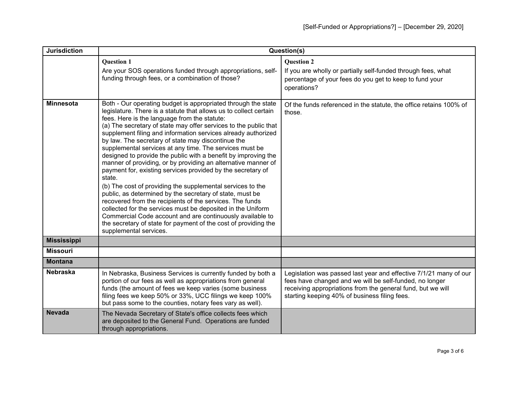| <b>Jurisdiction</b> | Question(s)                                                                                                                                                                                                                                                                                                                                                                                                                                                                                                                                                                                                                                                                                                                                                                                                                                                                                                                                                                                                                                                         |                                                                                                                                                                                                                                              |
|---------------------|---------------------------------------------------------------------------------------------------------------------------------------------------------------------------------------------------------------------------------------------------------------------------------------------------------------------------------------------------------------------------------------------------------------------------------------------------------------------------------------------------------------------------------------------------------------------------------------------------------------------------------------------------------------------------------------------------------------------------------------------------------------------------------------------------------------------------------------------------------------------------------------------------------------------------------------------------------------------------------------------------------------------------------------------------------------------|----------------------------------------------------------------------------------------------------------------------------------------------------------------------------------------------------------------------------------------------|
|                     | <b>Question 1</b><br>Are your SOS operations funded through appropriations, self-<br>funding through fees, or a combination of those?                                                                                                                                                                                                                                                                                                                                                                                                                                                                                                                                                                                                                                                                                                                                                                                                                                                                                                                               | <b>Question 2</b><br>If you are wholly or partially self-funded through fees, what<br>percentage of your fees do you get to keep to fund your<br>operations?                                                                                 |
| <b>Minnesota</b>    | Both - Our operating budget is appropriated through the state<br>legislature. There is a statute that allows us to collect certain<br>fees. Here is the language from the statute:<br>(a) The secretary of state may offer services to the public that<br>supplement filing and information services already authorized<br>by law. The secretary of state may discontinue the<br>supplemental services at any time. The services must be<br>designed to provide the public with a benefit by improving the<br>manner of providing, or by providing an alternative manner of<br>payment for, existing services provided by the secretary of<br>state.<br>(b) The cost of providing the supplemental services to the<br>public, as determined by the secretary of state, must be<br>recovered from the recipients of the services. The funds<br>collected for the services must be deposited in the Uniform<br>Commercial Code account and are continuously available to<br>the secretary of state for payment of the cost of providing the<br>supplemental services. | Of the funds referenced in the statute, the office retains 100% of<br>those.                                                                                                                                                                 |
| <b>Mississippi</b>  |                                                                                                                                                                                                                                                                                                                                                                                                                                                                                                                                                                                                                                                                                                                                                                                                                                                                                                                                                                                                                                                                     |                                                                                                                                                                                                                                              |
| <b>Missouri</b>     |                                                                                                                                                                                                                                                                                                                                                                                                                                                                                                                                                                                                                                                                                                                                                                                                                                                                                                                                                                                                                                                                     |                                                                                                                                                                                                                                              |
| <b>Montana</b>      |                                                                                                                                                                                                                                                                                                                                                                                                                                                                                                                                                                                                                                                                                                                                                                                                                                                                                                                                                                                                                                                                     |                                                                                                                                                                                                                                              |
| <b>Nebraska</b>     | In Nebraska, Business Services is currently funded by both a<br>portion of our fees as well as appropriations from general<br>funds (the amount of fees we keep varies (some business<br>filing fees we keep 50% or 33%, UCC filings we keep 100%<br>but pass some to the counties, notary fees vary as well).                                                                                                                                                                                                                                                                                                                                                                                                                                                                                                                                                                                                                                                                                                                                                      | Legislation was passed last year and effective 7/1/21 many of our<br>fees have changed and we will be self-funded, no longer<br>receiving appropriations from the general fund, but we will<br>starting keeping 40% of business filing fees. |
| <b>Nevada</b>       | The Nevada Secretary of State's office collects fees which<br>are deposited to the General Fund. Operations are funded<br>through appropriations.                                                                                                                                                                                                                                                                                                                                                                                                                                                                                                                                                                                                                                                                                                                                                                                                                                                                                                                   |                                                                                                                                                                                                                                              |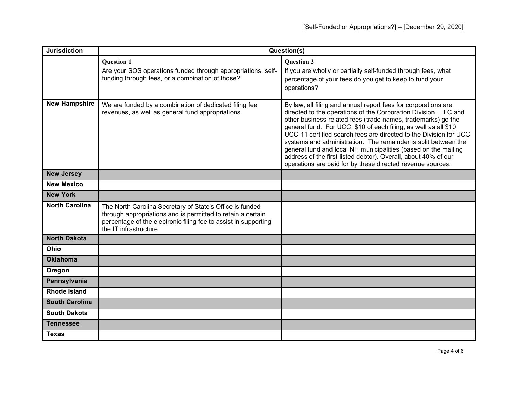| <b>Jurisdiction</b>   | Question(s)                                                                                                                                                                                                          |                                                                                                                                                                                                                                                                                                                                                                                                                                                                                                                                                                                                               |
|-----------------------|----------------------------------------------------------------------------------------------------------------------------------------------------------------------------------------------------------------------|---------------------------------------------------------------------------------------------------------------------------------------------------------------------------------------------------------------------------------------------------------------------------------------------------------------------------------------------------------------------------------------------------------------------------------------------------------------------------------------------------------------------------------------------------------------------------------------------------------------|
|                       | <b>Question 1</b><br>Are your SOS operations funded through appropriations, self-<br>funding through fees, or a combination of those?                                                                                | <b>Question 2</b><br>If you are wholly or partially self-funded through fees, what<br>percentage of your fees do you get to keep to fund your<br>operations?                                                                                                                                                                                                                                                                                                                                                                                                                                                  |
| <b>New Hampshire</b>  | We are funded by a combination of dedicated filing fee<br>revenues, as well as general fund appropriations.                                                                                                          | By law, all filing and annual report fees for corporations are<br>directed to the operations of the Corporation Division. LLC and<br>other business-related fees (trade names, trademarks) go the<br>general fund. For UCC, \$10 of each filing, as well as all \$10<br>UCC-11 certified search fees are directed to the Division for UCC<br>systems and administration. The remainder is split between the<br>general fund and local NH municipalities (based on the mailing<br>address of the first-listed debtor). Overall, about 40% of our<br>operations are paid for by these directed revenue sources. |
| <b>New Jersey</b>     |                                                                                                                                                                                                                      |                                                                                                                                                                                                                                                                                                                                                                                                                                                                                                                                                                                                               |
| <b>New Mexico</b>     |                                                                                                                                                                                                                      |                                                                                                                                                                                                                                                                                                                                                                                                                                                                                                                                                                                                               |
| <b>New York</b>       |                                                                                                                                                                                                                      |                                                                                                                                                                                                                                                                                                                                                                                                                                                                                                                                                                                                               |
| <b>North Carolina</b> | The North Carolina Secretary of State's Office is funded<br>through appropriations and is permitted to retain a certain<br>percentage of the electronic filing fee to assist in supporting<br>the IT infrastructure. |                                                                                                                                                                                                                                                                                                                                                                                                                                                                                                                                                                                                               |
| <b>North Dakota</b>   |                                                                                                                                                                                                                      |                                                                                                                                                                                                                                                                                                                                                                                                                                                                                                                                                                                                               |
| Ohio                  |                                                                                                                                                                                                                      |                                                                                                                                                                                                                                                                                                                                                                                                                                                                                                                                                                                                               |
| <b>Oklahoma</b>       |                                                                                                                                                                                                                      |                                                                                                                                                                                                                                                                                                                                                                                                                                                                                                                                                                                                               |
| Oregon                |                                                                                                                                                                                                                      |                                                                                                                                                                                                                                                                                                                                                                                                                                                                                                                                                                                                               |
| Pennsylvania          |                                                                                                                                                                                                                      |                                                                                                                                                                                                                                                                                                                                                                                                                                                                                                                                                                                                               |
| <b>Rhode Island</b>   |                                                                                                                                                                                                                      |                                                                                                                                                                                                                                                                                                                                                                                                                                                                                                                                                                                                               |
| <b>South Carolina</b> |                                                                                                                                                                                                                      |                                                                                                                                                                                                                                                                                                                                                                                                                                                                                                                                                                                                               |
| <b>South Dakota</b>   |                                                                                                                                                                                                                      |                                                                                                                                                                                                                                                                                                                                                                                                                                                                                                                                                                                                               |
| <b>Tennessee</b>      |                                                                                                                                                                                                                      |                                                                                                                                                                                                                                                                                                                                                                                                                                                                                                                                                                                                               |
| <b>Texas</b>          |                                                                                                                                                                                                                      |                                                                                                                                                                                                                                                                                                                                                                                                                                                                                                                                                                                                               |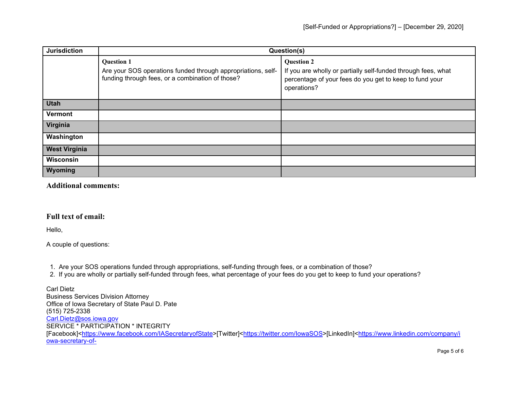| <b>Jurisdiction</b>  | Question(s)                                                                                                                           |                                                                                                                                                              |
|----------------------|---------------------------------------------------------------------------------------------------------------------------------------|--------------------------------------------------------------------------------------------------------------------------------------------------------------|
|                      | <b>Question 1</b><br>Are your SOS operations funded through appropriations, self-<br>funding through fees, or a combination of those? | <b>Question 2</b><br>If you are wholly or partially self-funded through fees, what<br>percentage of your fees do you get to keep to fund your<br>operations? |
| <b>Utah</b>          |                                                                                                                                       |                                                                                                                                                              |
| <b>Vermont</b>       |                                                                                                                                       |                                                                                                                                                              |
| Virginia             |                                                                                                                                       |                                                                                                                                                              |
| Washington           |                                                                                                                                       |                                                                                                                                                              |
| <b>West Virginia</b> |                                                                                                                                       |                                                                                                                                                              |
| Wisconsin            |                                                                                                                                       |                                                                                                                                                              |
| Wyoming              |                                                                                                                                       |                                                                                                                                                              |

**Additional comments:**

## **Full text of email:**

Hello,

A couple of questions:

1. Are your SOS operations funded through appropriations, self-funding through fees, or a combination of those?

2. If you are wholly or partially self-funded through fees, what percentage of your fees do you get to keep to fund your operations?

Carl Dietz Business Services Division Attorney Office of Iowa Secretary of State Paul D. Pate (515) 725-2338 [Carl.Dietz@sos.iowa.gov](mailto:Carl.Dietz@sos.iowa.gov) SERVICE \* PARTICIPATION \* INTEGRITY [Facebook][<https://www.facebook.com/IASecretaryofState>](https://www.facebook.com/IASecretaryofState)[Twitter][<https://twitter.com/IowaSOS>](https://twitter.com/IowaSOS)[LinkedIn][<https://www.linkedin.com/company/i](https://www.linkedin.com/company/iowa-secretary-of-state) [owa-secretary-of-](https://www.linkedin.com/company/iowa-secretary-of-state)